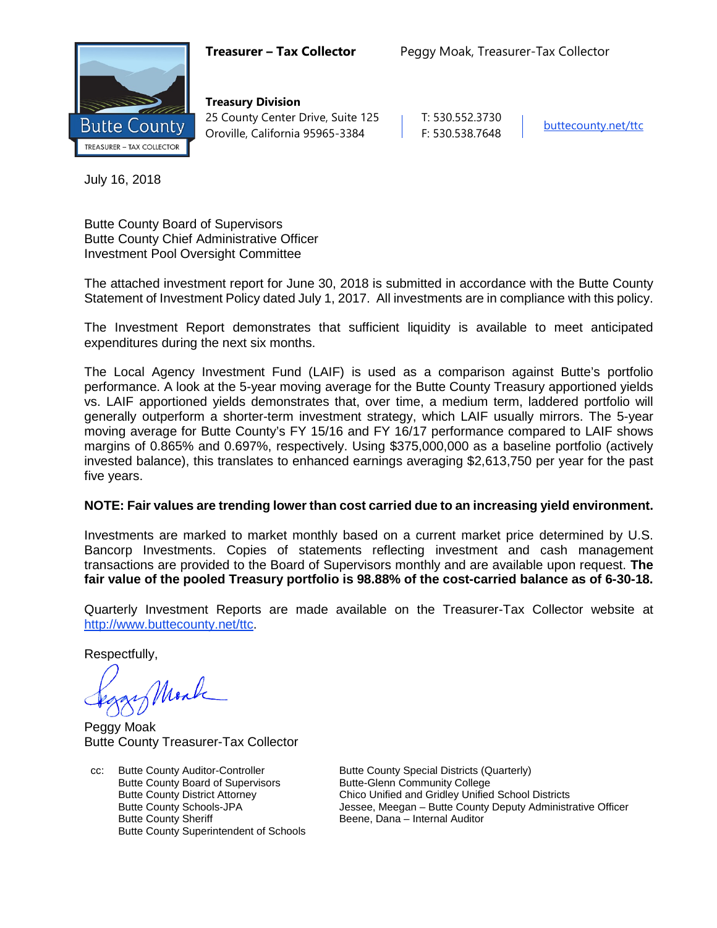

**Treasury Division** 25 County Center Drive, Suite 125 | T: 530.552.3730 Oroville, California 95965-3384 F: 530.538.7648 [buttecounty.net/t](http://www.buttecounty.net/administration)tc

July 16, 2018

Butte County Board of Supervisors Butte County Chief Administrative Officer Investment Pool Oversight Committee

The attached investment report for June 30, 2018 is submitted in accordance with the Butte County Statement of Investment Policy dated July 1, 2017. All investments are in compliance with this policy.

The Investment Report demonstrates that sufficient liquidity is available to meet anticipated expenditures during the next six months.

The Local Agency Investment Fund (LAIF) is used as a comparison against Butte's portfolio performance. A look at the 5-year moving average for the Butte County Treasury apportioned yields vs. LAIF apportioned yields demonstrates that, over time, a medium term, laddered portfolio will generally outperform a shorter-term investment strategy, which LAIF usually mirrors. The 5-year moving average for Butte County's FY 15/16 and FY 16/17 performance compared to LAIF shows margins of 0.865% and 0.697%, respectively. Using \$375,000,000 as a baseline portfolio (actively invested balance), this translates to enhanced earnings averaging \$2,613,750 per year for the past five years.

# **NOTE: Fair values are trending lower than cost carried due to an increasing yield environment.**

Investments are marked to market monthly based on a current market price determined by U.S. Bancorp Investments. Copies of statements reflecting investment and cash management transactions are provided to the Board of Supervisors monthly and are available upon request. **The fair value of the pooled Treasury portfolio is 98.88% of the cost-carried balance as of 6-30-18.**

Quarterly Investment Reports are made available on the Treasurer-Tax Collector website at <http://www.buttecounty.net/ttc>.

Respectfully,

Mark

Peggy Moak Butte County Treasurer-Tax Collector

cc: Butte County Auditor-Controller Butte County Special Districts (Quarterly) Butte County Board of Supervisors Butte-Glenn Community College Butte County Sheriff **Butte County Sheriff** Beene, Dana – Internal Auditor Butte County Superintendent of Schools

Butte County District Attorney Chico Unified and Gridley Unified School Districts Butte County Schools-JPA Jessee, Meegan – Butte County Deputy Administrative Officer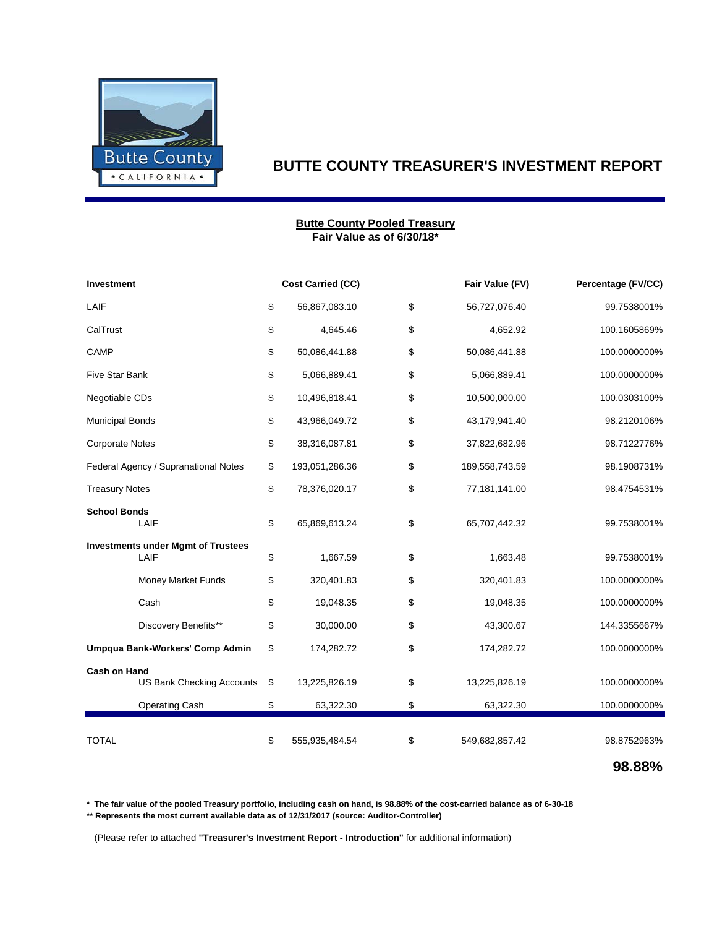

### **Fair Value as of 6/30/18\* Butte County Pooled Treasury**

| <b>Investment</b>                                       | <b>Cost Carried (CC)</b> | Fair Value (FV)      | Percentage (FV/CC) |
|---------------------------------------------------------|--------------------------|----------------------|--------------------|
| LAIF                                                    | \$<br>56,867,083.10      | \$<br>56,727,076.40  | 99.7538001%        |
| CalTrust                                                | \$<br>4,645.46           | \$<br>4,652.92       | 100.1605869%       |
| CAMP                                                    | \$<br>50,086,441.88      | \$<br>50,086,441.88  | 100.0000000%       |
| <b>Five Star Bank</b>                                   | \$<br>5,066,889.41       | \$<br>5,066,889.41   | 100.0000000%       |
| Negotiable CDs                                          | \$<br>10,496,818.41      | \$<br>10,500,000.00  | 100.0303100%       |
| <b>Municipal Bonds</b>                                  | \$<br>43,966,049.72      | \$<br>43,179,941.40  | 98.2120106%        |
| <b>Corporate Notes</b>                                  | \$<br>38,316,087.81      | \$<br>37,822,682.96  | 98.7122776%        |
| Federal Agency / Supranational Notes                    | \$<br>193,051,286.36     | \$<br>189,558,743.59 | 98.1908731%        |
| <b>Treasury Notes</b>                                   | \$<br>78,376,020.17      | \$<br>77,181,141.00  | 98.4754531%        |
| <b>School Bonds</b><br>LAIF                             | \$<br>65,869,613.24      | \$<br>65,707,442.32  | 99.7538001%        |
| <b>Investments under Mgmt of Trustees</b><br>LAIF       | \$<br>1,667.59           | \$<br>1,663.48       | 99.7538001%        |
| Money Market Funds                                      | \$<br>320,401.83         | \$<br>320,401.83     | 100.0000000%       |
| Cash                                                    | \$<br>19,048.35          | \$<br>19,048.35      | 100.0000000%       |
| Discovery Benefits**                                    | \$<br>30,000.00          | \$<br>43,300.67      | 144.3355667%       |
| Umpqua Bank-Workers' Comp Admin                         | \$<br>174,282.72         | \$<br>174,282.72     | 100.0000000%       |
| <b>Cash on Hand</b><br><b>US Bank Checking Accounts</b> | \$<br>13,225,826.19      | \$<br>13,225,826.19  | 100.0000000%       |
| Operating Cash                                          | \$<br>63,322.30          | \$<br>63,322.30      | 100.0000000%       |
| <b>TOTAL</b>                                            | \$<br>555,935,484.54     | \$<br>549,682,857.42 | 98.8752963%        |

**98.88%**

**\* The fair value of the pooled Treasury portfolio, including cash on hand, is 98.88% of the cost-carried balance as of 6-30-18**

**\*\* Represents the most current available data as of 12/31/2017 (source: Auditor-Controller)**

(Please refer to attached **"Treasurer's Investment Report - Introduction"** for additional information)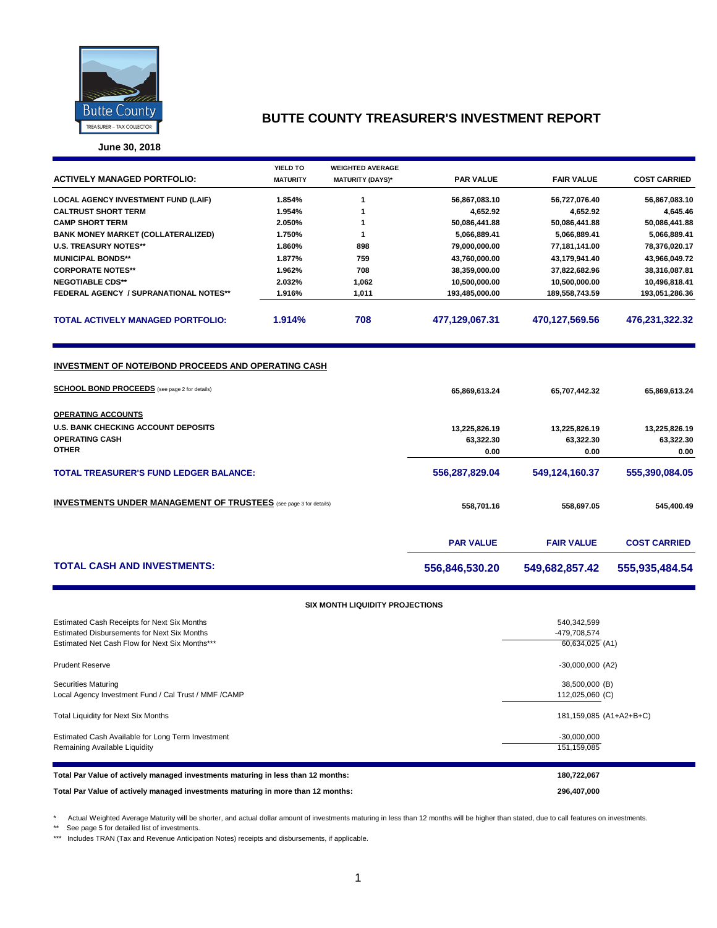

**June 30, 2018**

| <b>ACTIVELY MANAGED PORTFOLIO:</b>                                                                          | <b>YIELD TO</b><br><b>MATURITY</b> | <b>WEIGHTED AVERAGE</b><br><b>MATURITY (DAYS)*</b> | <b>PAR VALUE</b> | <b>FAIR VALUE</b> | <b>COST CARRIED</b> |
|-------------------------------------------------------------------------------------------------------------|------------------------------------|----------------------------------------------------|------------------|-------------------|---------------------|
| <b>LOCAL AGENCY INVESTMENT FUND (LAIF)</b>                                                                  | 1.854%                             | 1                                                  | 56,867,083.10    | 56,727,076.40     | 56,867,083.10       |
| <b>CALTRUST SHORT TERM</b>                                                                                  | 1.954%                             | 1                                                  | 4,652.92         | 4,652.92          | 4,645.46            |
| <b>CAMP SHORT TERM</b>                                                                                      | 2.050%                             | 1                                                  | 50,086,441.88    | 50,086,441.88     | 50,086,441.88       |
| <b>BANK MONEY MARKET (COLLATERALIZED)</b>                                                                   | 1.750%                             | 1                                                  | 5,066,889.41     | 5,066,889.41      | 5,066,889.41        |
| <b>U.S. TREASURY NOTES**</b>                                                                                | 1.860%                             | 898                                                | 79,000,000.00    | 77,181,141.00     | 78,376,020.17       |
| <b>MUNICIPAL BONDS**</b>                                                                                    | 1.877%                             | 759                                                | 43,760,000.00    | 43,179,941.40     | 43,966,049.72       |
| <b>CORPORATE NOTES**</b>                                                                                    | 1.962%                             | 708                                                | 38,359,000.00    | 37,822,682.96     | 38,316,087.81       |
| <b>NEGOTIABLE CDS**</b>                                                                                     | 2.032%                             | 1,062                                              | 10,500,000.00    | 10,500,000.00     | 10,496,818.41       |
| <b>FEDERAL AGENCY / SUPRANATIONAL NOTES**</b>                                                               | 1.916%                             | 1,011                                              | 193,485,000.00   | 189,558,743.59    | 193,051,286.36      |
| <b>TOTAL ACTIVELY MANAGED PORTFOLIO:</b>                                                                    | 1.914%                             | 708                                                | 477,129,067.31   | 470,127,569.56    | 476,231,322.32      |
| INVESTMENT OF NOTE/BOND PROCEEDS AND OPERATING CASH<br><b>SCHOOL BOND PROCEEDS</b> (see page 2 for details) |                                    |                                                    | 65,869,613.24    | 65,707,442.32     | 65,869,613.24       |
| <b>OPERATING ACCOUNTS</b>                                                                                   |                                    |                                                    |                  |                   |                     |
| <b>U.S. BANK CHECKING ACCOUNT DEPOSITS</b>                                                                  |                                    |                                                    | 13,225,826.19    | 13,225,826.19     | 13,225,826.19       |
| <b>OPERATING CASH</b>                                                                                       |                                    |                                                    | 63,322.30        | 63,322.30         | 63,322.30           |
| <b>OTHER</b>                                                                                                |                                    |                                                    | 0.00             | 0.00              | 0.00                |
| <b>TOTAL TREASURER'S FUND LEDGER BALANCE:</b>                                                               |                                    |                                                    | 556,287,829.04   | 549,124,160.37    | 555,390,084.05      |
| <b>INVESTMENTS UNDER MANAGEMENT OF TRUSTEES</b> (see page 3 for details)                                    |                                    | 558,701.16                                         | 558,697.05       | 545,400.49        |                     |
|                                                                                                             |                                    |                                                    | <b>PAR VALUE</b> | <b>FAIR VALUE</b> | <b>COST CARRIED</b> |
| <b>TOTAL CASH AND INVESTMENTS:</b>                                                                          |                                    |                                                    | 556,846,530.20   | 549,682,857.42    | 555,935,484.54      |

### **SIX MONTH LIQUIDITY PROJECTIONS**

| Total Par Value of actively managed investments maturing in more than 12 months:                                                             | 296,407,000                                    |
|----------------------------------------------------------------------------------------------------------------------------------------------|------------------------------------------------|
| Total Par Value of actively managed investments maturing in less than 12 months:                                                             | 180,722,067                                    |
| Estimated Cash Available for Long Term Investment<br>Remaining Available Liquidity                                                           | $-30,000,000$<br>151, 159, 085                 |
| Total Liquidity for Next Six Months                                                                                                          | 181,159,085 (A1+A2+B+C)                        |
| <b>Securities Maturing</b><br>Local Agency Investment Fund / Cal Trust / MMF / CAMP                                                          | 38,500,000 (B)<br>112,025,060 (C)              |
| <b>Prudent Reserve</b>                                                                                                                       | $-30,000,000$ (A2)                             |
| Estimated Cash Receipts for Next Six Months<br>Estimated Disbursements for Next Six Months<br>Estimated Net Cash Flow for Next Six Months*** | 540,342,599<br>-479,708,574<br>60,634,025 (A1) |

\* Actual Weighted Average Maturity will be shorter, and actual dollar amount of investments maturing in less than 12 months will be higher than stated, due to call features on investments.

\*\* See page 5 for detailed list of investments.

\*\*\* Includes TRAN (Tax and Revenue Anticipation Notes) receipts and disbursements, if applicable.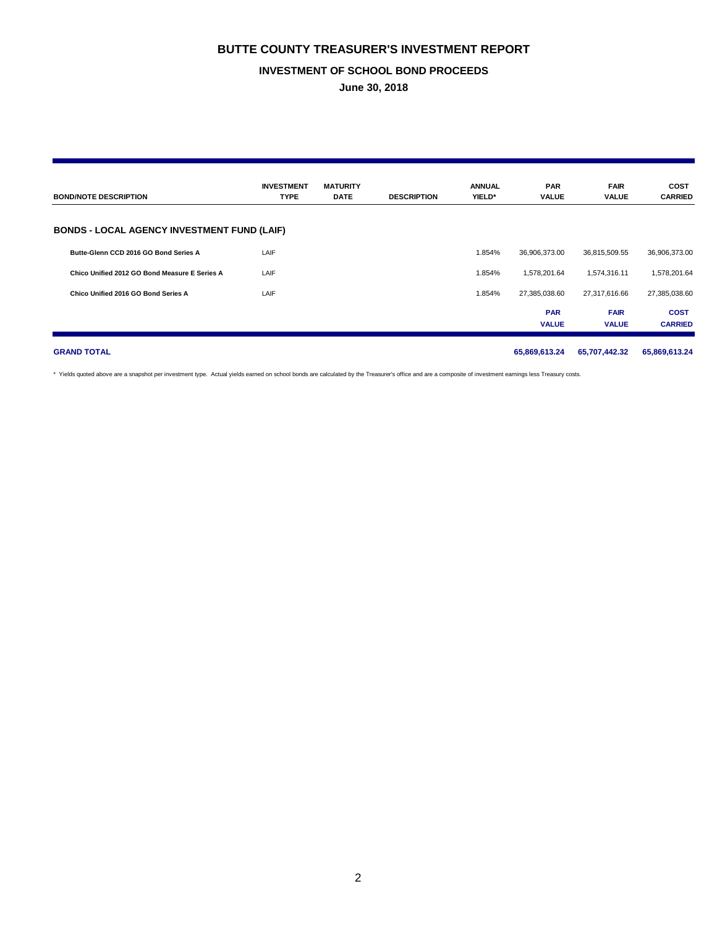### **INVESTMENT OF SCHOOL BOND PROCEEDS**

**June 30, 2018**

| <b>BOND/NOTE DESCRIPTION</b>                       | <b>INVESTMENT</b><br><b>TYPE</b> | <b>MATURITY</b><br><b>DATE</b> | <b>DESCRIPTION</b> | <b>ANNUAL</b><br>YIELD* | <b>PAR</b><br><b>VALUE</b> | <b>FAIR</b><br><b>VALUE</b> | <b>COST</b><br><b>CARRIED</b> |
|----------------------------------------------------|----------------------------------|--------------------------------|--------------------|-------------------------|----------------------------|-----------------------------|-------------------------------|
| <b>BONDS - LOCAL AGENCY INVESTMENT FUND (LAIF)</b> |                                  |                                |                    |                         |                            |                             |                               |
| Butte-Glenn CCD 2016 GO Bond Series A              | LAIF                             |                                |                    | 1.854%                  | 36,906,373.00              | 36,815,509.55               | 36,906,373.00                 |
| Chico Unified 2012 GO Bond Measure E Series A      | LAIF                             |                                |                    | 1.854%                  | 1,578,201.64               | 1,574,316.11                | 1,578,201.64                  |
| Chico Unified 2016 GO Bond Series A                | LAIF                             |                                |                    | 1.854%                  | 27,385,038.60              | 27,317,616.66               | 27,385,038.60                 |
|                                                    |                                  |                                |                    |                         | <b>PAR</b><br><b>VALUE</b> | <b>FAIR</b><br><b>VALUE</b> | <b>COST</b><br><b>CARRIED</b> |
| <b>GRAND TOTAL</b>                                 |                                  |                                |                    |                         | 65,869,613.24              | 65,707,442.32               | 65,869,613.24                 |

\* Yields quoted above are a snapshot per investment type. Actual yields earned on school bonds are calculated by the Treasurer's office and are a composite of investment earnings less Treasury costs.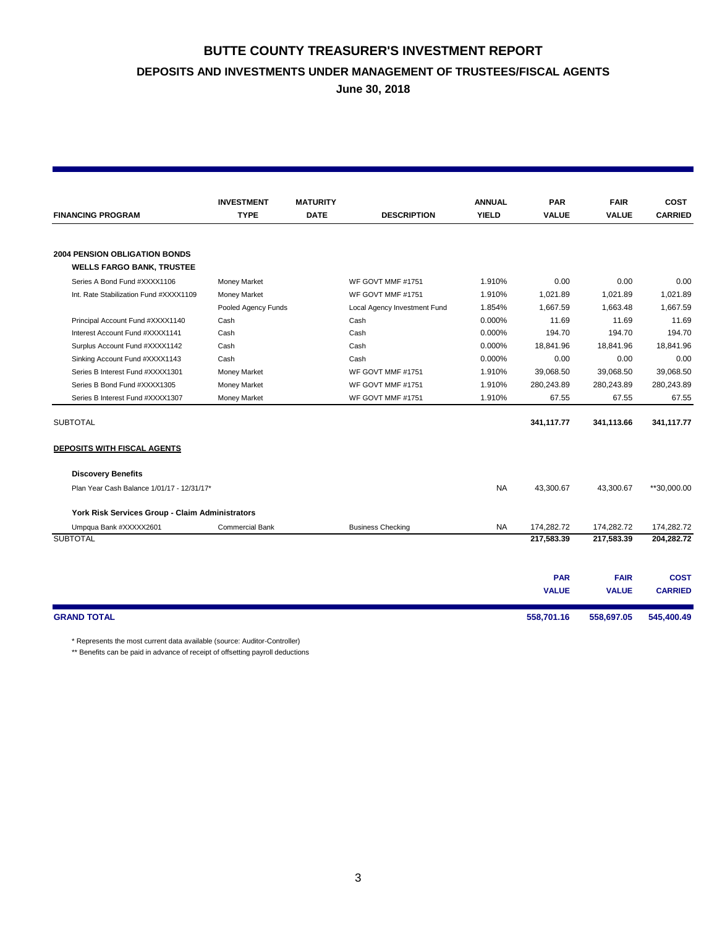# **BUTTE COUNTY TREASURER'S INVESTMENT REPORT DEPOSITS AND INVESTMENTS UNDER MANAGEMENT OF TRUSTEES/FISCAL AGENTS**

**June 30, 2018**

|                                                 | <b>INVESTMENT</b>      | <b>MATURITY</b> |                              | <b>ANNUAL</b> | <b>PAR</b>   | <b>FAIR</b>  | <b>COST</b>    |
|-------------------------------------------------|------------------------|-----------------|------------------------------|---------------|--------------|--------------|----------------|
| <b>FINANCING PROGRAM</b>                        | <b>TYPE</b>            | <b>DATE</b>     | <b>DESCRIPTION</b>           | <b>YIELD</b>  | <b>VALUE</b> | <b>VALUE</b> | <b>CARRIED</b> |
|                                                 |                        |                 |                              |               |              |              |                |
| <b>2004 PENSION OBLIGATION BONDS</b>            |                        |                 |                              |               |              |              |                |
| <b>WELLS FARGO BANK, TRUSTEE</b>                |                        |                 |                              |               |              |              |                |
| Series A Bond Fund #XXXX1106                    | <b>Money Market</b>    |                 | WF GOVT MMF #1751            | 1.910%        | 0.00         | 0.00         | 0.00           |
| Int. Rate Stabilization Fund #XXXX1109          | <b>Money Market</b>    |                 | WF GOVT MMF #1751            | 1.910%        | 1,021.89     | 1,021.89     | 1.021.89       |
|                                                 | Pooled Agency Funds    |                 | Local Agency Investment Fund | 1.854%        | 1.667.59     | 1.663.48     | 1.667.59       |
| Principal Account Fund #XXXX1140                | Cash                   |                 | Cash                         | 0.000%        | 11.69        | 11.69        | 11.69          |
| Interest Account Fund #XXXX1141                 | Cash                   |                 | Cash                         | 0.000%        | 194.70       | 194.70       | 194.70         |
| Surplus Account Fund #XXXX1142                  | Cash                   |                 | Cash                         | 0.000%        | 18,841.96    | 18,841.96    | 18,841.96      |
| Sinking Account Fund #XXXX1143                  | Cash                   |                 | Cash                         | 0.000%        | 0.00         | 0.00         | 0.00           |
| Series B Interest Fund #XXXX1301                | Money Market           |                 | WF GOVT MMF #1751            | 1.910%        | 39,068.50    | 39,068.50    | 39,068.50      |
| Series B Bond Fund #XXXX1305                    | <b>Money Market</b>    |                 | WF GOVT MMF #1751            | 1.910%        | 280,243.89   | 280,243.89   | 280,243.89     |
| Series B Interest Fund #XXXX1307                | Money Market           |                 | WF GOVT MMF #1751            | 1.910%        | 67.55        | 67.55        | 67.55          |
| <b>SUBTOTAL</b>                                 |                        |                 |                              |               | 341,117.77   | 341,113.66   | 341,117.77     |
| <b>DEPOSITS WITH FISCAL AGENTS</b>              |                        |                 |                              |               |              |              |                |
| <b>Discovery Benefits</b>                       |                        |                 |                              |               |              |              |                |
| Plan Year Cash Balance 1/01/17 - 12/31/17*      |                        |                 |                              | <b>NA</b>     | 43,300.67    | 43.300.67    | **30.000.00    |
| York Risk Services Group - Claim Administrators |                        |                 |                              |               |              |              |                |
| Umpqua Bank #XXXXX2601                          | <b>Commercial Bank</b> |                 | <b>Business Checking</b>     | <b>NA</b>     | 174.282.72   | 174.282.72   | 174.282.72     |
| <b>SUBTOTAL</b>                                 |                        |                 |                              |               | 217,583.39   | 217,583.39   | 204,282.72     |
|                                                 |                        |                 |                              |               |              |              |                |
|                                                 |                        |                 |                              |               | <b>PAR</b>   | <b>FAIR</b>  | <b>COST</b>    |
|                                                 |                        |                 |                              |               | <b>VALUE</b> | <b>VALUE</b> | <b>CARRIED</b> |
| <b>GRAND TOTAL</b>                              |                        |                 |                              |               | 558,701.16   | 558,697.05   | 545,400.49     |

\* Represents the most current data available (source: Auditor-Controller)

\*\* Benefits can be paid in advance of receipt of offsetting payroll deductions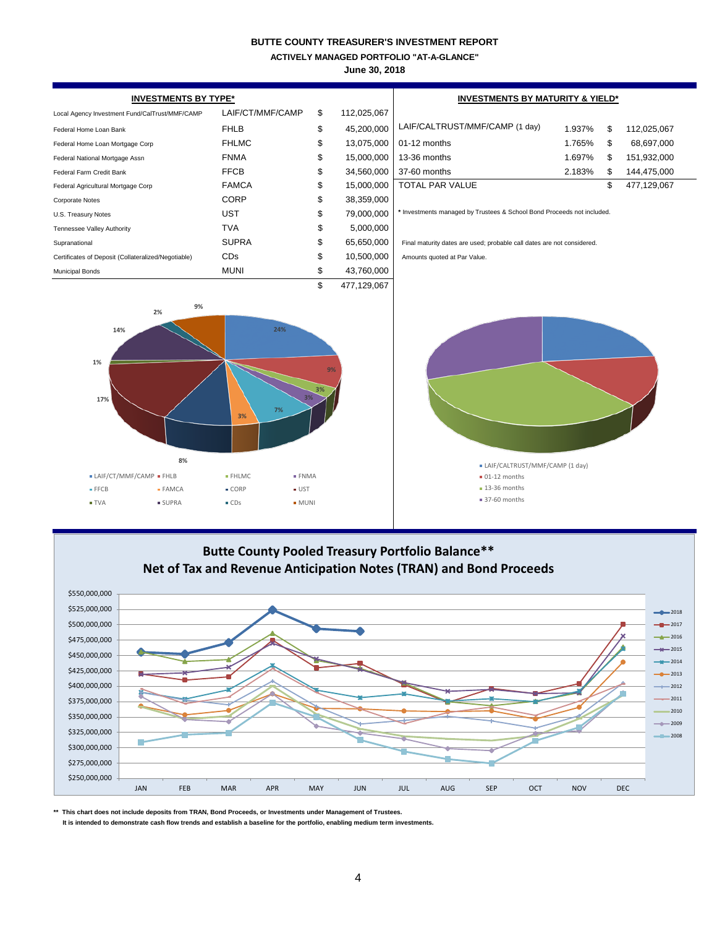**ACTIVELY MANAGED PORTFOLIO "AT-A-GLANCE"**

**June 30, 2018**

| <b>INVESTMENTS BY TYPE*</b>                                                                                            |                                      | <b>INVESTMENTS BY MATURITY &amp; YIELD*</b> |             |                                                                         |        |    |                             |  |  |  |
|------------------------------------------------------------------------------------------------------------------------|--------------------------------------|---------------------------------------------|-------------|-------------------------------------------------------------------------|--------|----|-----------------------------|--|--|--|
| Local Agency Investment Fund/CalTrust/MMF/CAMP                                                                         | LAIF/CT/MMF/CAMP                     | \$                                          | 112,025,067 |                                                                         |        |    |                             |  |  |  |
| Federal Home Loan Bank                                                                                                 | <b>FHLB</b>                          | \$                                          | 45,200,000  | LAIF/CALTRUST/MMF/CAMP (1 day)                                          | 1.937% | \$ | 112,025,067                 |  |  |  |
| Federal Home Loan Mortgage Corp                                                                                        | <b>FHLMC</b>                         | \$                                          | 13,075,000  | 01-12 months                                                            | 1.765% | \$ | 68,697,000                  |  |  |  |
| Federal National Mortgage Assn                                                                                         | <b>FNMA</b>                          | \$                                          | 15,000,000  | 13-36 months                                                            | 1.697% | \$ | 151,932,000                 |  |  |  |
| Federal Farm Credit Bank                                                                                               | <b>FFCB</b>                          | \$                                          | 34,560,000  | 37-60 months                                                            | 2.183% | \$ | 144,475,000                 |  |  |  |
| Federal Agricultural Mortgage Corp                                                                                     | <b>FAMCA</b>                         | \$                                          | 15,000,000  | <b>TOTAL PAR VALUE</b>                                                  |        | \$ | 477,129,067                 |  |  |  |
| <b>Corporate Notes</b>                                                                                                 | <b>CORP</b>                          | \$                                          | 38,359,000  |                                                                         |        |    |                             |  |  |  |
| U.S. Treasury Notes                                                                                                    | <b>UST</b>                           | \$                                          | 79,000,000  | * Investments managed by Trustees & School Bond Proceeds not included.  |        |    |                             |  |  |  |
| Tennessee Valley Authority                                                                                             | <b>TVA</b>                           | \$                                          | 5,000,000   |                                                                         |        |    |                             |  |  |  |
| Supranational                                                                                                          | <b>SUPRA</b>                         | \$                                          | 65,650,000  | Final maturity dates are used; probable call dates are not considered.  |        |    |                             |  |  |  |
| Certificates of Deposit (Collateralized/Negotiable)                                                                    | CDs                                  | \$                                          | 10,500,000  | Amounts quoted at Par Value.                                            |        |    |                             |  |  |  |
| <b>Municipal Bonds</b>                                                                                                 | <b>MUNI</b>                          | \$                                          | 43,760,000  |                                                                         |        |    |                             |  |  |  |
|                                                                                                                        |                                      | \$                                          | 477,129,067 |                                                                         |        |    |                             |  |  |  |
| 24%<br>14%<br>1%<br>QQ<br>17%<br>7%<br>3%<br>8%<br>• LAIF/CT/MMF/CAMP • FHLB<br>• FHLMC<br>$\bullet$ FNMA              |                                      |                                             |             | · LAIF/CALTRUST/MMF/CAMP (1 day)<br>$= 01-12$ months<br>$-13-36$ months |        |    |                             |  |  |  |
| ■ FFCB<br>· FAMCA                                                                                                      | $\bullet$ CORP<br>$\bullet$ UST      |                                             |             | • 37-60 months                                                          |        |    |                             |  |  |  |
| ■ TVA<br><b>SUPRA</b>                                                                                                  | $\bullet$ CDs<br>$\blacksquare$ MUNI |                                             |             |                                                                         |        |    |                             |  |  |  |
| Butte County Pooled Treasury Portfolio Balance**<br>Net of Tax and Revenue Anticipation Notes (TRAN) and Bond Proceeds |                                      |                                             |             |                                                                         |        |    |                             |  |  |  |
| \$550,000,000                                                                                                          |                                      |                                             |             |                                                                         |        |    |                             |  |  |  |
| \$525,000,000                                                                                                          |                                      |                                             |             |                                                                         |        |    |                             |  |  |  |
|                                                                                                                        |                                      |                                             |             |                                                                         |        |    | $-2018$                     |  |  |  |
| \$500,000,000                                                                                                          |                                      |                                             |             |                                                                         |        |    | $-2017$<br>$\triangle$ 2016 |  |  |  |
| \$475,000,000                                                                                                          |                                      |                                             |             |                                                                         |        |    | $+$ 2015                    |  |  |  |
| \$450,000,000                                                                                                          |                                      |                                             |             |                                                                         |        |    | $-4 - 2014$                 |  |  |  |
| \$425,000,000                                                                                                          |                                      |                                             |             |                                                                         |        |    | $-2013$                     |  |  |  |
| \$400,000,000                                                                                                          |                                      |                                             |             |                                                                         |        |    | 2012                        |  |  |  |

**\*\* This chart does not include deposits from TRAN, Bond Proceeds, or Investments under Management of Trustees.**

\$250,000,000 \$275,000,000 \$300,000,000 \$325,000,000 \$350,000,000 \$375,000,000

D

 **It is intended to demonstrate cash flow trends and establish a baseline for the portfolio, enabling medium term investments.**

JAN FEB MAR APR MAY JUN JUL AUG SEP OCT NOV DEC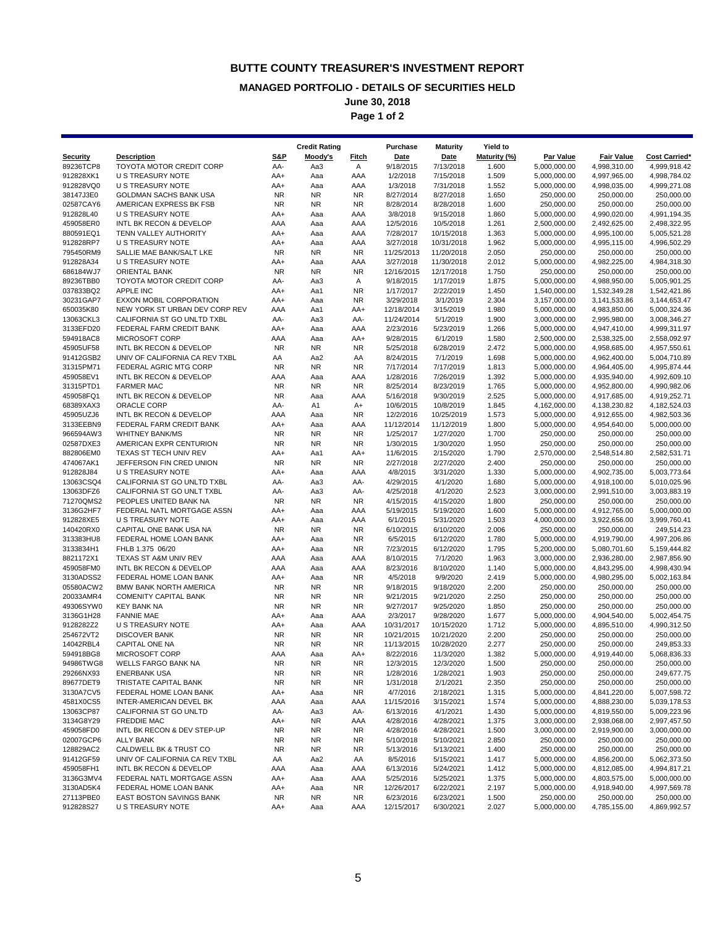### **MANAGED PORTFOLIO - DETAILS OF SECURITIES HELD**

**June 30, 2018**

**Page 1 of 2**

|                        |                                                           |                        | <b>Credit Rating</b> |                        | Purchase                | <b>Maturity</b>         | <b>Yield to</b> |                              |                              |                              |
|------------------------|-----------------------------------------------------------|------------------------|----------------------|------------------------|-------------------------|-------------------------|-----------------|------------------------------|------------------------------|------------------------------|
| Security               | <b>Description</b>                                        | <b>S&amp;P</b>         | Moody's              | <b>Fitch</b>           | Date                    | Date                    | Maturity (%)    | Par Value                    | <b>Fair Value</b>            | <b>Cost Carried*</b>         |
| 89236TCP8              | TOYOTA MOTOR CREDIT CORP                                  | AA-                    | Aa3                  | Α                      | 9/18/2015               | 7/13/2018               | 1.600           | 5,000,000.00                 | 4,998,310.00                 | 4,999,918.42                 |
| 912828XK1              | <b>U S TREASURY NOTE</b>                                  | AA+                    | Aaa                  | AAA                    | 1/2/2018                | 7/15/2018               | 1.509           | 5,000,000.00                 | 4,997,965.00                 | 4,998,784.02                 |
| 912828VQ0<br>38147J3E0 | U S TREASURY NOTE<br>GOLDMAN SACHS BANK USA               | AA+<br><b>NR</b>       | Aaa<br>NR.           | AAA<br><b>NR</b>       | 1/3/2018<br>8/27/2014   | 7/31/2018<br>8/27/2018  | 1.552<br>1.650  | 5,000,000.00<br>250,000.00   | 4,998,035.00<br>250,000.00   | 4,999,271.08<br>250,000.00   |
| 02587CAY6              | AMERICAN EXPRESS BK FSB                                   | <b>NR</b>              | NR.                  | <b>NR</b>              | 8/28/2014               | 8/28/2018               | 1.600           | 250,000.00                   | 250,000.00                   | 250,000.00                   |
| 912828L40              | U S TREASURY NOTE                                         | AA+                    | Aaa                  | AAA                    | 3/8/2018                | 9/15/2018               | 1.860           | 5,000,000.00                 | 4,990,020.00                 | 4,991,194.35                 |
| 459058ER0              | INTL BK RECON & DEVELOP                                   | AAA                    | Aaa                  | AAA                    | 12/5/2016               | 10/5/2018               | 1.261           | 2,500,000.00                 | 2,492,625.00                 | 2,498,322.95                 |
| 880591EQ1              | TENN VALLEY AUTHORITY                                     | AA+                    | Aaa                  | AAA                    | 7/28/2017               | 10/15/2018              | 1.363           | 5,000,000.00                 | 4,995,100.00                 | 5,005,521.28                 |
| 912828RP7              | U S TREASURY NOTE                                         | AA+                    | Aaa                  | AAA                    | 3/27/2018               | 10/31/2018              | 1.962           | 5,000,000.00                 | 4,995,115.00                 | 4,996,502.29                 |
| 795450RM9              | SALLIE MAE BANK/SALT LKE                                  | <b>NR</b>              | NR.                  | <b>NR</b>              | 11/25/2013              | 11/20/2018              | 2.050           | 250,000.00                   | 250,000.00                   | 250,000.00                   |
| 912828A34              | U S TREASURY NOTE                                         | AA+                    | Aaa                  | AAA<br><b>NR</b>       | 3/27/2018               | 11/30/2018              | 2.012           | 5,000,000.00                 | 4,982,225.00                 | 4,984,318.30                 |
| 686184WJ7<br>89236TBB0 | <b>ORIENTAL BANK</b><br>TOYOTA MOTOR CREDIT CORP          | <b>NR</b><br>AA-       | NR.<br>Aa3           | Α                      | 12/16/2015<br>9/18/2015 | 12/17/2018<br>1/17/2019 | 1.750<br>1.875  | 250,000.00<br>5,000,000.00   | 250,000.00<br>4,988,950.00   | 250,000.00<br>5,005,901.25   |
| 037833BQ2              | <b>APPLE INC</b>                                          | AA+                    | Aa1                  | <b>NR</b>              | 1/17/2017               | 2/22/2019               | 1.450           | 1,540,000.00                 | 1,532,349.28                 | 1,542,421.86                 |
| 30231GAP7              | EXXON MOBIL CORPORATION                                   | AA+                    | Aaa                  | <b>NR</b>              | 3/29/2018               | 3/1/2019                | 2.304           | 3,157,000.00                 | 3,141,533.86                 | 3,144,653.47                 |
| 650035K80              | NEW YORK ST URBAN DEV CORP REV                            | AAA                    | Aa1                  | AA+                    | 12/18/2014              | 3/15/2019               | 1.980           | 5,000,000.00                 | 4,983,850.00                 | 5,000,324.36                 |
| 13063CKL3              | CALIFORNIA ST GO UNLTD TXBL                               | AA-                    | Aa3                  | AA-                    | 11/24/2014              | 5/1/2019                | 1.900           | 3,000,000.00                 | 2,995,980.00                 | 3,008,346.27                 |
| 3133EFD20              | FEDERAL FARM CREDIT BANK                                  | AA+                    | Aaa                  | AAA                    | 2/23/2016               | 5/23/2019               | 1.266           | 5,000,000.00                 | 4,947,410.00                 | 4,999,311.97                 |
| 594918AC8              | MICROSOFT CORP                                            | AAA                    | Aaa                  | AA+                    | 9/28/2015               | 6/1/2019                | 1.580           | 2,500,000.00                 | 2,538,325.00                 | 2,558,092.97                 |
| 45905UF58<br>91412GSB2 | INTL BK RECON & DEVELOP<br>UNIV OF CALIFORNIA CA REV TXBL | <b>NR</b><br>AA        | NR.                  | <b>NR</b>              | 5/25/2018               | 6/28/2019               | 2.472           | 5,000,000.00                 | 4,958,685.00                 | 4,957,550.61                 |
| 31315PM71              | FEDERAL AGRIC MTG CORP                                    | <b>NR</b>              | Aa2<br>NR.           | AA<br><b>NR</b>        | 8/24/2015<br>7/17/2014  | 7/1/2019<br>7/17/2019   | 1.698<br>1.813  | 5,000,000.00<br>5,000,000.00 | 4,962,400.00<br>4,964,405.00 | 5,004,710.89<br>4,995,874.44 |
| 459058EV1              | INTL BK RECON & DEVELOP                                   | AAA                    | Aaa                  | AAA                    | 1/28/2016               | 7/26/2019               | 1.392           | 5,000,000.00                 | 4,935,940.00                 | 4,992,609.10                 |
| 31315PTD1              | <b>FARMER MAC</b>                                         | <b>NR</b>              | NR.                  | <b>NR</b>              | 8/25/2014               | 8/23/2019               | 1.765           | 5,000,000.00                 | 4,952,800.00                 | 4,990,982.06                 |
| 459058FQ1              | INTL BK RECON & DEVELOP                                   | <b>NR</b>              | Aaa                  | AAA                    | 5/16/2018               | 9/30/2019               | 2.525           | 5,000,000.00                 | 4,917,685.00                 | 4,919,252.71                 |
| 68389XAX3              | ORACLE CORP                                               | AA-                    | A1                   | A+                     | 10/6/2015               | 10/8/2019               | 1.845           | 4,162,000.00                 | 4,138,230.82                 | 4,182,524.03                 |
| 45905UZJ6              | INTL BK RECON & DEVELOP                                   | AAA                    | Aaa                  | <b>NR</b>              | 12/2/2016               | 10/25/2019              | 1.573           | 5,000,000.00                 | 4,912,655.00                 | 4,982,503.36                 |
| 3133EEBN9              | FEDERAL FARM CREDIT BANK                                  | AA+                    | Aaa                  | AAA                    | 11/12/2014              | 11/12/2019              | 1.800           | 5,000,000.00                 | 4,954,640.00                 | 5,000,000.00                 |
| 966594AW3<br>02587DXE3 | <b>WHITNEY BANK/MS</b><br>AMERICAN EXPR CENTURION         | <b>NR</b><br><b>NR</b> | NR.<br>NR.           | <b>NR</b><br><b>NR</b> | 1/25/2017<br>1/30/2015  | 1/27/2020<br>1/30/2020  | 1.700<br>1.950  | 250,000.00<br>250,000.00     | 250,000.00<br>250,000.00     | 250,000.00<br>250,000.00     |
| 882806EM0              | TEXAS ST TECH UNIV REV                                    | AA+                    | Aa1                  | AA+                    | 11/6/2015               | 2/15/2020               | 1.790           | 2,570,000.00                 | 2,548,514.80                 | 2,582,531.71                 |
| 474067AK1              | JEFFERSON FIN CRED UNION                                  | <b>NR</b>              | <b>NR</b>            | <b>NR</b>              | 2/27/2018               | 2/27/2020               | 2.400           | 250,000.00                   | 250,000.00                   | 250,000.00                   |
| 912828J84              | <b>U S TREASURY NOTE</b>                                  | AA+                    | Aaa                  | AAA                    | 4/8/2015                | 3/31/2020               | 1.330           | 5,000,000.00                 | 4,902,735.00                 | 5,003,773.64                 |
| 13063CSQ4              | CALIFORNIA ST GO UNLTD TXBL                               | AA-                    | Aa3                  | AA-                    | 4/29/2015               | 4/1/2020                | 1.680           | 5,000,000.00                 | 4,918,100.00                 | 5,010,025.96                 |
| 13063DFZ6              | CALIFORNIA ST GO UNLT TXBL                                | AA-                    | Aa3                  | AA-                    | 4/25/2018               | 4/1/2020                | 2.523           | 3,000,000.00                 | 2,991,510.00                 | 3,003,883.19                 |
| 71270QMS2              | PEOPLES UNITED BANK NA                                    | <b>NR</b>              | <b>NR</b>            | <b>NR</b>              | 4/15/2015               | 4/15/2020               | 1.800           | 250,000.00                   | 250,000.00                   | 250,000.00                   |
| 3136G2HF7              | FEDERAL NATL MORTGAGE ASSN                                | AA+                    | Aaa                  | AAA                    | 5/19/2015               | 5/19/2020               | 1.600           | 5,000,000.00                 | 4,912,765.00                 | 5,000,000.00                 |
| 912828XE5<br>140420RX0 | U S TREASURY NOTE<br>CAPITAL ONE BANK USA NA              | AA+<br><b>NR</b>       | Aaa<br>NR.           | AAA<br><b>NR</b>       | 6/1/2015<br>6/10/2015   | 5/31/2020<br>6/10/2020  | 1.503<br>2.006  | 4,000,000.00<br>250,000.00   | 3,922,656.00<br>250,000.00   | 3,999,760.41<br>249,514.23   |
| 313383HU8              | FEDERAL HOME LOAN BANK                                    | AA+                    | Aaa                  | <b>NR</b>              | 6/5/2015                | 6/12/2020               | 1.780           | 5,000,000.00                 | 4,919,790.00                 | 4,997,206.86                 |
| 3133834H1              | FHLB 1.375 06/20                                          | AA+                    | Aaa                  | <b>NR</b>              | 7/23/2015               | 6/12/2020               | 1.795           | 5,200,000.00                 | 5,080,701.60                 | 5,159,444.82                 |
| 8821172X1              | TEXAS ST A&M UNIV REV                                     | AAA                    | Aaa                  | AAA                    | 8/10/2015               | 7/1/2020                | 1.963           | 3,000,000.00                 | 2,936,280.00                 | 2,987,856.90                 |
| 459058FM0              | INTL BK RECON & DEVELOP                                   | AAA                    | Aaa                  | AAA                    | 8/23/2016               | 8/10/2020               | 1.140           | 5,000,000.00                 | 4,843,295.00                 | 4,998,430.94                 |
| 3130ADSS2              | FEDERAL HOME LOAN BANK                                    | AA+                    | Aaa                  | <b>NR</b>              | 4/5/2018                | 9/9/2020                | 2.419           | 5,000,000.00                 | 4,980,295.00                 | 5,002,163.84                 |
| 05580ACW2              | <b>BMW BANK NORTH AMERICA</b>                             | <b>NR</b>              | <b>NR</b>            | <b>NR</b>              | 9/18/2015               | 9/18/2020               | 2.200           | 250,000.00                   | 250,000.00                   | 250,000.00                   |
| 20033AMR4<br>49306SYW0 | <b>COMENITY CAPITAL BANK</b><br><b>KEY BANK NA</b>        | <b>NR</b><br><b>NR</b> | NR.<br>NR.           | <b>NR</b><br><b>NR</b> | 9/21/2015<br>9/27/2017  | 9/21/2020<br>9/25/2020  | 2.250<br>1.850  | 250,000.00<br>250,000.00     | 250,000.00<br>250,000.00     | 250,000.00<br>250,000.00     |
| 3136G1H28              | <b>FANNIE MAE</b>                                         | AA+                    | Aaa                  | AAA                    | 2/3/2017                | 9/28/2020               | 1.677           | 5,000,000.00                 | 4,904,540.00                 | 5,002,454.75                 |
| 9128282Z2              | U S TREASURY NOTE                                         | AA+                    | Aaa                  | AAA                    | 10/31/2017              | 10/15/2020              | 1.712           | 5,000,000.00                 | 4,895,510.00                 | 4,990,312.50                 |
| 254672VT2              | <b>DISCOVER BANK</b>                                      | <b>NR</b>              | <b>NR</b>            | <b>NR</b>              | 10/21/2015              | 10/21/2020              | 2.200           | 250,000.00                   | 250,000.00                   | 250,000.00                   |
| 14042RBL4              | <b>CAPITAL ONE NA</b>                                     | <b>NR</b>              | NR.                  | <b>NR</b>              | 11/13/2015              | 10/28/2020              | 2.277           | 250,000.00                   | 250,000.00                   | 249,853.33                   |
| 594918BG8              | MICROSOFT CORP                                            | AAA                    | Aaa                  | AA+                    | 8/22/2016               | 11/3/2020               | 1.382           | 5,000,000.00                 | 4,919,440.00                 | 5,068,836.33                 |
| 94986TWG8              | WELLS FARGO BANK NA                                       | <b>NR</b>              | <b>NR</b>            | <b>NR</b>              | 12/3/2015               | 12/3/2020               | 1.500           | 250,000.00                   | 250,000.00                   | 250,000.00                   |
| 29266NX93              | <b>ENERBANK USA</b>                                       | <b>NR</b>              | NR.                  | <b>NR</b>              | 1/28/2016               | 1/28/2021               | 1.903           | 250,000.00                   | 250,000.00                   | 249,677.75                   |
| 89677DET9<br>3130A7CV5 | TRISTATE CAPITAL BANK<br>FEDERAL HOME LOAN BANK           | <b>NR</b><br>AA+       | NR.<br>Aaa           | <b>NR</b><br><b>NR</b> | 1/31/2018<br>4/7/2016   | 2/1/2021<br>2/18/2021   | 2.350<br>1.315  | 250,000.00<br>5,000,000.00   | 250,000.00<br>4,841,220.00   | 250,000.00<br>5,007,598.72   |
| 4581X0CS5              | INTER-AMERICAN DEVEL BK                                   | AAA                    | Aaa                  | AAA                    | 11/15/2016              | 3/15/2021               | 1.574           | 5,000,000.00                 | 4,888,230.00                 | 5,039,178.53                 |
| 13063CP87              | CALIFORNIA ST GO UNLTD                                    | AA-                    | Aa3                  | AA-                    | 6/13/2016               | 4/1/2021                | 1.430           | 5,000,000.00                 | 4,819,550.00                 | 5,009,223.96                 |
| 3134G8Y29              | <b>FREDDIE MAC</b>                                        | AA+                    | NR                   | AAA                    | 4/28/2016               | 4/28/2021               | 1.375           | 3,000,000.00                 | 2,938,068.00                 | 2,997,457.50                 |
| 459058FD0              | INTL BK RECON & DEV STEP-UP                               | <b>NR</b>              | NR.                  | NR                     | 4/28/2016               | 4/28/2021               | 1.500           | 3,000,000.00                 | 2,919,900.00                 | 3,000,000.00                 |
| 02007GCP6              | <b>ALLY BANK</b>                                          | <b>NR</b>              | NR                   | <b>NR</b>              | 5/10/2018               | 5/10/2021               | 2.850           | 250,000.00                   | 250,000.00                   | 250,000.00                   |
| 128829AC2              | CALDWELL BK & TRUST CO                                    | <b>NR</b>              | NR                   | <b>NR</b>              | 5/13/2016               | 5/13/2021               | 1.400           | 250,000.00                   | 250,000.00                   | 250,000.00                   |
| 91412GF59              | UNIV OF CALIFORNIA CA REV TXBL                            | AA                     | Aa2                  | AA                     | 8/5/2016                | 5/15/2021               | 1.417           | 5,000,000.00                 | 4,856,200.00                 | 5,062,373.50                 |
| 459058FH1<br>3136G3MV4 | INTL BK RECON & DEVELOP<br>FEDERAL NATL MORTGAGE ASSN     | AAA<br>AA+             | Aaa<br>Aaa           | AAA<br>AAA             | 6/13/2016<br>5/25/2016  | 5/24/2021<br>5/25/2021  | 1.412<br>1.375  | 5,000,000.00<br>5,000,000.00 | 4,812,085.00<br>4,803,575.00 | 4,994,817.21<br>5,000,000.00 |
| 3130AD5K4              | FEDERAL HOME LOAN BANK                                    | AA+                    | Aaa                  | <b>NR</b>              | 12/26/2017              | 6/22/2021               | 2.197           | 5,000,000.00                 | 4,918,940.00                 | 4,997,569.78                 |
| 27113PBE0              | EAST BOSTON SAVINGS BANK                                  | <b>NR</b>              | NR                   | <b>NR</b>              | 6/23/2016               | 6/23/2021               | 1.500           | 250,000.00                   | 250,000.00                   | 250,000.00                   |
| 912828S27              | U S TREASURY NOTE                                         | AA+                    | Aaa                  | AAA                    | 12/15/2017              | 6/30/2021               | 2.027           | 5,000,000.00                 | 4,785,155.00                 | 4,869,992.57                 |